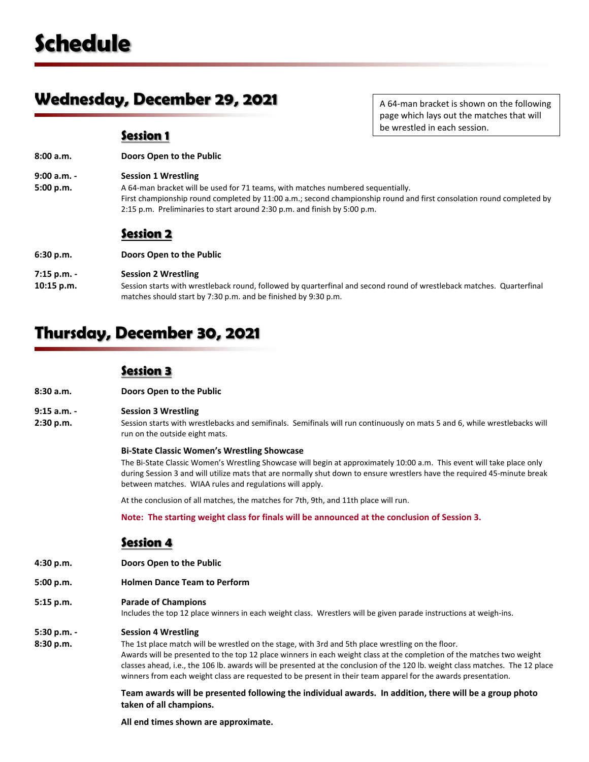# **Wednesday, December 29, 2021**

A 64‐man bracket is shown on the following page which lays out the matches that will be wrestled in each session.

## **Session 1**

**8:00 a.m. Doors Open to the Public**

**9:00 a.m. ‐ Session 1 Wrestling**

**5:00 p.m.** A 64-man bracket will be used for 71 teams, with matches numbered sequentially. First championship round completed by 11:00 a.m.; second championship round and first consolation round completed by 2:15 p.m. Preliminaries to start around 2:30 p.m. and finish by 5:00 p.m.

# **Session 2**

**6:30 p.m. Doors Open to the Public**

## **7:15 p.m. ‐ Session 2 Wrestling**

**10:15 p.m.** Session starts with wrestleback round, followed by quarterfinal and second round of wrestleback matches. Quarterfinal matches should start by 7:30 p.m. and be finished by 9:30 p.m.

# **Thursday, December 30, 2021**

## **Session 3**

**8:30 a.m. Doors Open to the Public**

### **9:15 a.m. ‐ Session 3 Wrestling**

**2:30 p.m.** Session starts with wrestlebacks and semifinals. Semifinals will run continuously on mats 5 and 6, while wrestlebacks will run on the outside eight mats.

### **Bi‐State Classic Women's Wrestling Showcase**

The Bi-State Classic Women's Wrestling Showcase will begin at approximately 10:00 a.m. This event will take place only during Session 3 and will utilize mats that are normally shut down to ensure wrestlers have the required 45‐minute break between matches. WIAA rules and regulations will apply.

At the conclusion of all matches, the matches for 7th, 9th, and 11th place will run.

**Note: The starting weight class for finals will be announced at the conclusion of Session 3.**

## **Session 4**

- **4:30 p.m. Doors Open to the Public**
- **5:00 p.m. Holmen Dance Team to Perform**
- **5:15 p.m. Parade of Champions**

Includes the top 12 place winners in each weight class. Wrestlers will be given parade instructions at weigh‐ins.

### **5:30 p.m. ‐ Session 4 Wrestling**

**8:30 p.m.** The 1st place match will be wrestled on the stage, with 3rd and 5th place wrestling on the floor. Awards will be presented to the top 12 place winners in each weight class at the completion of the matches two weight classes ahead, i.e., the 106 lb. awards will be presented at the conclusion of the 120 lb. weight class matches. The 12 place winners from each weight class are requested to be present in their team apparel for the awards presentation.

> Team awards will be presented following the individual awards. In addition, there will be a group photo **taken of all champions.**

**All end times shown are approximate.**